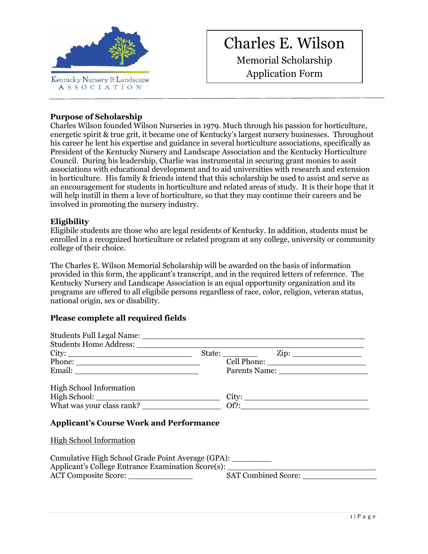

# Charles E. Wilson

Memorial Scholarship Application Form

## **Purpose of Scholarship**

Charles Wilson founded Wilson Nurseries in 1979. Much through his passion for horticulture, energetic spirit & true grit, it became one of Kentucky's largest nursery businesses. Throughout his career he lent his expertise and guidance in several horticulture associations, specifically as President of the Kentucky Nursery and Landscape Association and the Kentucky Horticulture Council. During his leadership, Charlie was instrumental in securing grant monies to assit associations with educational development and to aid universities with research and extension in horticulture. His family & friends intend that this scholarship be used to assist and serve as an encouragement for students in horticulture and related areas of study. It is their hope that it will help instill in them a love of horticulture, so that they may continue their careers and be involved in promoting the nursery industry.

### **Eligibility**

Eligibile students are those who are legal residents of Kentucky. In addition, students must be enrolled in a recognized horticulture or related program at any college, university or community college of their choice.

The Charles E. Wilson Memorial Scholarship will be awarded on the basis of information provided in this form, the applicant's transcript, and in the required letters of reference. The Kentucky Nursery and Landscape Association is an equal opportunity organization and its programs are offered to all eligibile persons regardless of race, color, religion, veteran status, national origin, sex or disability.

# **Please complete all required fields**

| City:                                                                                                                                            |  |  |                     |  |
|--------------------------------------------------------------------------------------------------------------------------------------------------|--|--|---------------------|--|
|                                                                                                                                                  |  |  |                     |  |
|                                                                                                                                                  |  |  |                     |  |
| High School Information                                                                                                                          |  |  |                     |  |
|                                                                                                                                                  |  |  |                     |  |
|                                                                                                                                                  |  |  |                     |  |
| <b>Applicant's Course Work and Performance</b>                                                                                                   |  |  |                     |  |
| <b>High School Information</b>                                                                                                                   |  |  |                     |  |
| Cumulative High School Grade Point Average (GPA): _________<br>Applicant's College Entrance Examination Score(s): ______________________________ |  |  |                     |  |
| ACT Composite Score:                                                                                                                             |  |  | SAT Combined Score: |  |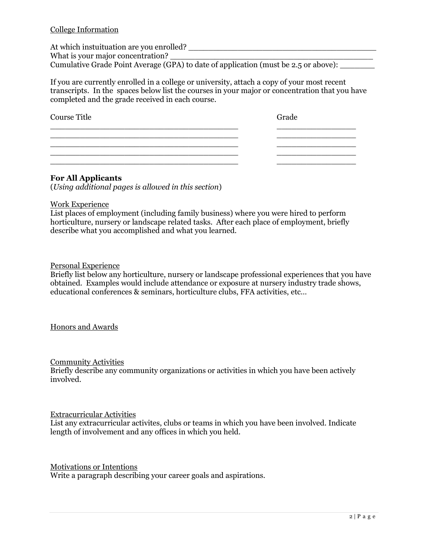#### College Information

At which instuituation are you enrolled? What is your major concentration? Cumulative Grade Point Average (GPA) to date of application (must be 2.5 or above):

If you are currently enrolled in a college or university, attach a copy of your most recent transcripts. In the spaces below list the courses in your major or concentration that you have completed and the grade received in each course.

| <b>Course Title</b> | Grade |
|---------------------|-------|
|                     |       |
|                     |       |
|                     |       |

#### **For All Applicants**

(*Using additional pages is allowed in this section*)

#### Work Experience

List places of employment (including family business) where you were hired to perform horticulture, nursery or landscape related tasks. After each place of employment, briefly describe what you accomplished and what you learned.

#### Personal Experience

Briefly list below any horticulture, nursery or landscape professional experiences that you have obtained. Examples would include attendance or exposure at nursery industry trade shows, educational conferences & seminars, horticulture clubs, FFA activities, etc…

#### Honors and Awards

#### Community Activities

Briefly describe any community organizations or activities in which you have been actively involved.

#### Extracurricular Activities

List any extracurricular activites, clubs or teams in which you have been involved. Indicate length of involvement and any offices in which you held.

#### Motivations or Intentions

Write a paragraph describing your career goals and aspirations.